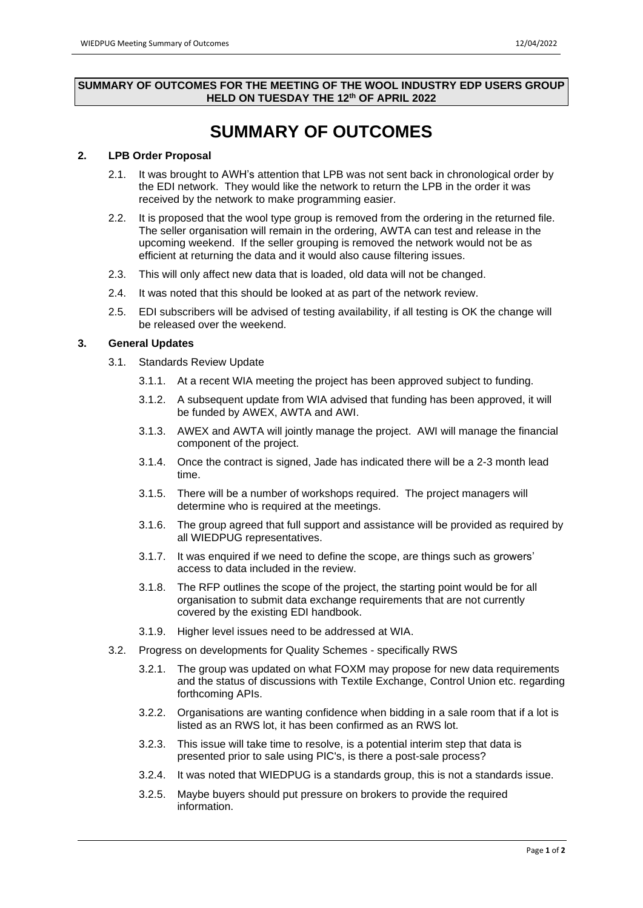#### **SUMMARY OF OUTCOMES FOR THE MEETING OF THE WOOL INDUSTRY EDP USERS GROUP HELD ON TUESDAY THE 12 th OF APRIL 2022**

# **SUMMARY OF OUTCOMES**

### **2. LPB Order Proposal**

- 2.1. It was brought to AWH's attention that LPB was not sent back in chronological order by the EDI network. They would like the network to return the LPB in the order it was received by the network to make programming easier.
- 2.2. It is proposed that the wool type group is removed from the ordering in the returned file. The seller organisation will remain in the ordering, AWTA can test and release in the upcoming weekend. If the seller grouping is removed the network would not be as efficient at returning the data and it would also cause filtering issues.
- 2.3. This will only affect new data that is loaded, old data will not be changed.
- 2.4. It was noted that this should be looked at as part of the network review.
- 2.5. EDI subscribers will be advised of testing availability, if all testing is OK the change will be released over the weekend.

#### **3. General Updates**

- 3.1. Standards Review Update
	- 3.1.1. At a recent WIA meeting the project has been approved subject to funding.
	- 3.1.2. A subsequent update from WIA advised that funding has been approved, it will be funded by AWEX, AWTA and AWI.
	- 3.1.3. AWEX and AWTA will jointly manage the project. AWI will manage the financial component of the project.
	- 3.1.4. Once the contract is signed, Jade has indicated there will be a 2-3 month lead time.
	- 3.1.5. There will be a number of workshops required. The project managers will determine who is required at the meetings.
	- 3.1.6. The group agreed that full support and assistance will be provided as required by all WIEDPUG representatives.
	- 3.1.7. It was enquired if we need to define the scope, are things such as growers' access to data included in the review.
	- 3.1.8. The RFP outlines the scope of the project, the starting point would be for all organisation to submit data exchange requirements that are not currently covered by the existing EDI handbook.
	- 3.1.9. Higher level issues need to be addressed at WIA.
- 3.2. Progress on developments for Quality Schemes specifically RWS
	- 3.2.1. The group was updated on what FOXM may propose for new data requirements and the status of discussions with Textile Exchange, Control Union etc. regarding forthcoming APIs.
	- 3.2.2. Organisations are wanting confidence when bidding in a sale room that if a lot is listed as an RWS lot, it has been confirmed as an RWS lot.
	- 3.2.3. This issue will take time to resolve, is a potential interim step that data is presented prior to sale using PIC's, is there a post-sale process?
	- 3.2.4. It was noted that WIEDPUG is a standards group, this is not a standards issue.
	- 3.2.5. Maybe buyers should put pressure on brokers to provide the required information.